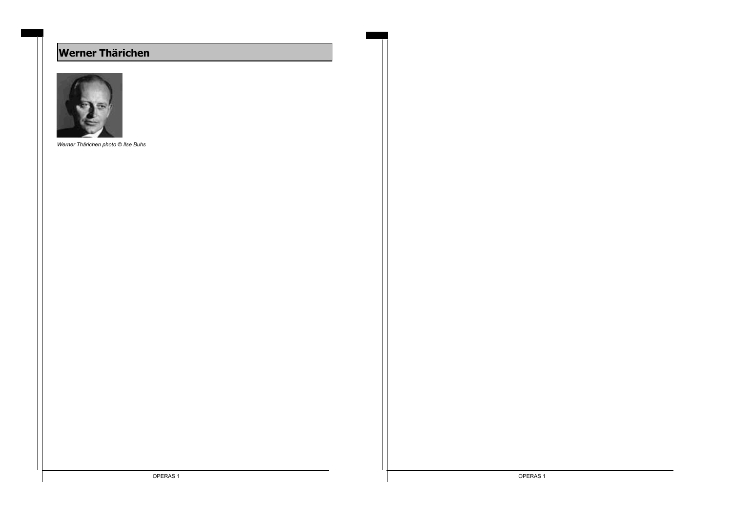# **Werner Thärichen**



*Werner Thärichen photo © Ilse Buhs*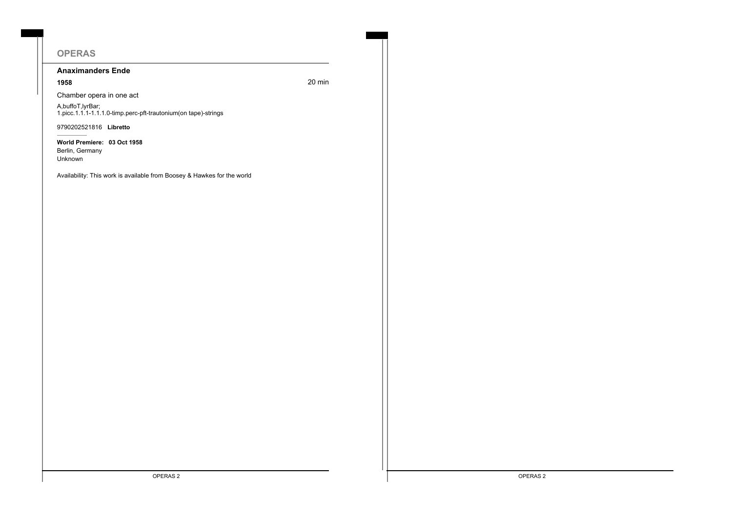# **OPERAS**

## **Anaximanders Ende**

**1958** 20 min

Chamber opera in one act

A,buffoT,lyrBar; 1.picc.1.1.1-1.1.1.0-timp.perc-pft-trautonium(on tape)-strings

9790202521816 **Libretto**

**World Premiere: 03 Oct 1958** Berlin, Germany Unknown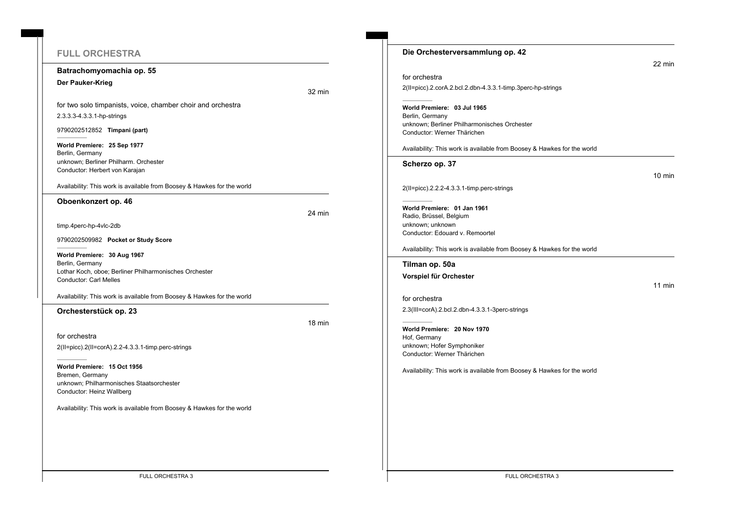# **FULL ORCHESTRA**

#### **Batrachomyomachia op. 55**

#### **Der Pauker-Krieg**

32 min

for two solo timpanists, voice, chamber choir and orchestra 2.3.3.3-4.3.3.1-hp-strings

9790202512852 **Timpani (part)**

**World Premiere: 25 Sep 1977** Berlin, Germany unknown; Berliner Philharm. Orchester Conductor: Herbert von Karajan

Availability: This work is available from Boosey & Hawkes for the world

#### **Oboenkonzert op. 46**

24 min

timp.4perc-hp-4vlc-2db

9790202509982 **Pocket or Study Score**

**World Premiere: 30 Aug 1967** Berlin, Germany Lothar Koch, oboe; Berliner Philharmonisches Orchester Conductor: Carl Melles

Availability: This work is available from Boosey & Hawkes for the world

## **Orchesterstück op. 23**

18 min

for orchestra 2(II=picc).2(II=corA).2.2-4.3.3.1-timp.perc-strings

**World Premiere: 15 Oct 1956** Bremen, Germany unknown; Philharmonisches Staatsorchester Conductor: Heinz Wallberg

Availability: This work is available from Boosey & Hawkes for the world

| Die Orchesterversammlung op. 42                                             |                  |
|-----------------------------------------------------------------------------|------------------|
|                                                                             | 22 min           |
| for orchestra                                                               |                  |
| 2(II=picc).2.corA.2.bcl.2.dbn-4.3.3.1-timp.3perc-hp-strings                 |                  |
| World Premiere: 03 Jul 1965                                                 |                  |
| Berlin, Germany                                                             |                  |
| unknown; Berliner Philharmonisches Orchester<br>Conductor: Werner Thärichen |                  |
|                                                                             |                  |
| Availability: This work is available from Boosey & Hawkes for the world     |                  |
| Scherzo op. 37                                                              |                  |
|                                                                             | $10 \text{ min}$ |
| 2(II=picc).2.2.2-4.3.3.1-timp.perc-strings                                  |                  |
|                                                                             |                  |
| World Premiere: 01 Jan 1961<br>Radio, Brüssel, Belgium                      |                  |
| unknown; unknown                                                            |                  |
| Conductor: Edouard v. Remoortel                                             |                  |
| Availability: This work is available from Boosey & Hawkes for the world     |                  |
| Tilman op. 50a                                                              |                  |
| Vorspiel für Orchester                                                      |                  |
|                                                                             | $11$ min         |
| for orchestra                                                               |                  |
| 2.3(III=corA).2.bcl.2.dbn-4.3.3.1-3perc-strings                             |                  |
| World Premiere: 20 Nov 1970                                                 |                  |
| Hof, Germany                                                                |                  |
| unknown; Hofer Symphoniker                                                  |                  |
| Conductor: Werner Thärichen                                                 |                  |
| Availability: This work is available from Boosey & Hawkes for the world     |                  |
|                                                                             |                  |
|                                                                             |                  |
|                                                                             |                  |
|                                                                             |                  |
|                                                                             |                  |
|                                                                             |                  |

FULL ORCHESTRA 3 FULL ORCHESTRA 3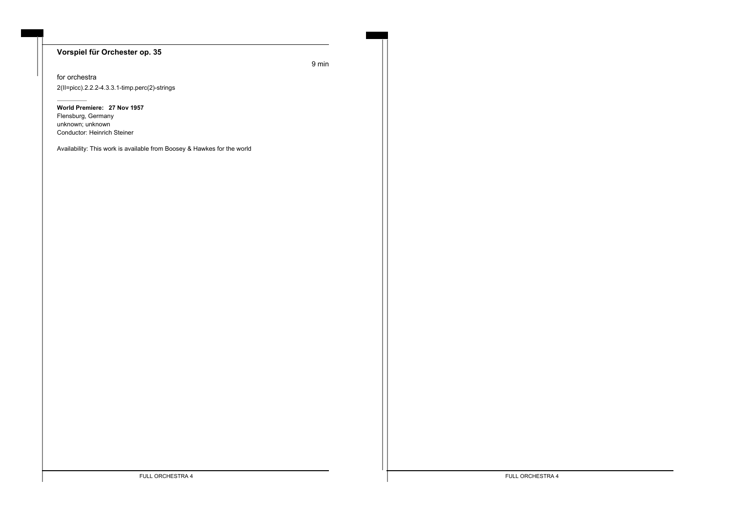## **Vorspiel für Orchester op. 35**

9 min

for orchestra 2(II=picc).2.2.2-4.3.3.1-timp.perc(2)-strings

**World Premiere: 27 Nov 1957** Flensburg, Germany unknown; unknown Conductor: Heinrich Steiner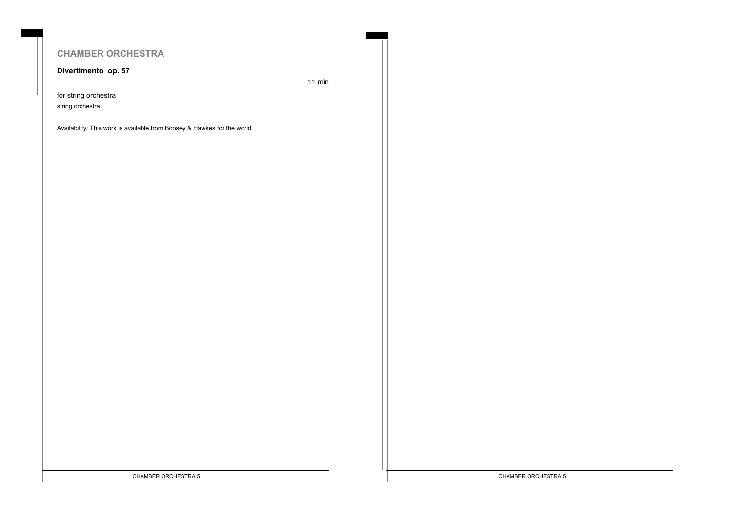# **CHAMBER ORCHESTRA**

**Divertimento op. 57**

11 min

for string orchestra

string orchestra

Availability: This work is available from Boosey & Hawkes for the world

CHAMBER ORCHESTRA 5 CHAMBER ORCHESTRA 5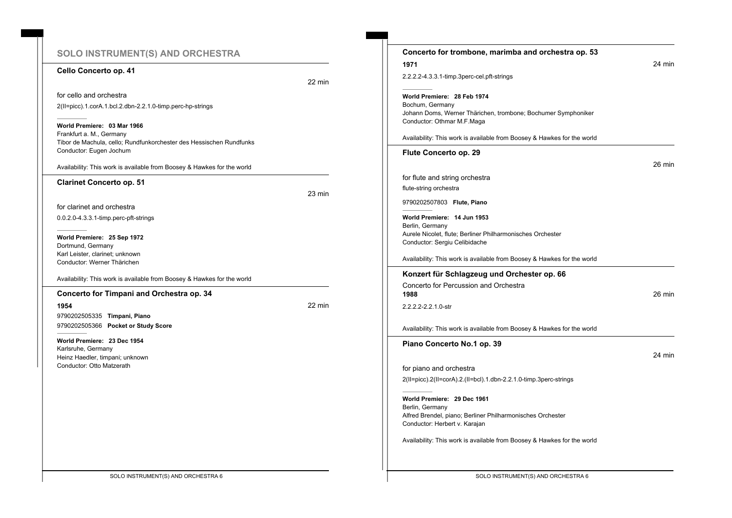# **SOLO INSTRUMENT(S) AND ORCHESTRA**

#### **Cello Concerto op. 41**

22 min

for cello and orchestra 2(II=picc).1.corA.1.bcl.2.dbn-2.2.1.0-timp.perc-hp-strings

**World Premiere: 03 Mar 1966** Frankfurt a. M., Germany Tibor de Machula, cello; Rundfunkorchester des Hessischen Rundfunks Conductor: Eugen Jochum

Availability: This work is available from Boosey & Hawkes for the world

#### **Clarinet Concerto op. 51**

23 min

for clarinet and orchestra

0.0.2.0-4.3.3.1-timp.perc-pft-strings

**World Premiere: 25 Sep 1972** Dortmund, Germany Karl Leister, clarinet; unknown Conductor: Werner Thärichen

Availability: This work is available from Boosey & Hawkes for the world

#### **Concerto for Timpani and Orchestra op. 34**

**1954** 22 min 9790202505335 **Timpani, Piano** 9790202505366 **Pocket or Study Score**

**World Premiere: 23 Dec 1954** Karlsruhe, Germany Heinz Haedler, timpani; unknown Conductor: Otto Matzerath

| 1971                                                                             | 24 min |
|----------------------------------------------------------------------------------|--------|
| 2.2.2.2-4.3.3.1-timp.3perc-cel.pft-strings                                       |        |
| World Premiere: 28 Feb 1974                                                      |        |
| Bochum, Germany<br>Johann Doms, Werner Thärichen, trombone; Bochumer Symphoniker |        |
| Conductor: Othmar M.F.Maga                                                       |        |
| Availability: This work is available from Boosey & Hawkes for the world          |        |
| Flute Concerto op. 29                                                            |        |
|                                                                                  | 26 min |
| for flute and string orchestra                                                   |        |
| flute-string orchestra                                                           |        |
| 9790202507803 Flute, Piano                                                       |        |
| World Premiere: 14 Jun 1953                                                      |        |
| Berlin, Germany<br>Aurele Nicolet, flute; Berliner Philharmonisches Orchester    |        |
| Conductor: Sergiu Celibidache                                                    |        |
| Availability: This work is available from Boosey & Hawkes for the world          |        |
| Konzert für Schlagzeug und Orchester op. 66                                      |        |
| Concerto for Percussion and Orchestra<br>1988                                    | 26 min |
| 2.2.2.2-2.2.1.0-str                                                              |        |
| Availability: This work is available from Boosey & Hawkes for the world          |        |
| Piano Concerto No.1 op. 39                                                       |        |
|                                                                                  | 24 min |
| for piano and orchestra                                                          |        |
| 2(II=picc).2(II=corA).2.(II=bcl).1.dbn-2.2.1.0-timp.3perc-strings                |        |
| World Premiere: 29 Dec 1961                                                      |        |
| Berlin, Germany                                                                  |        |
| Alfred Brendel, piano; Berliner Philharmonisches Orchester                       |        |
| Conductor: Herbert v. Karajan                                                    |        |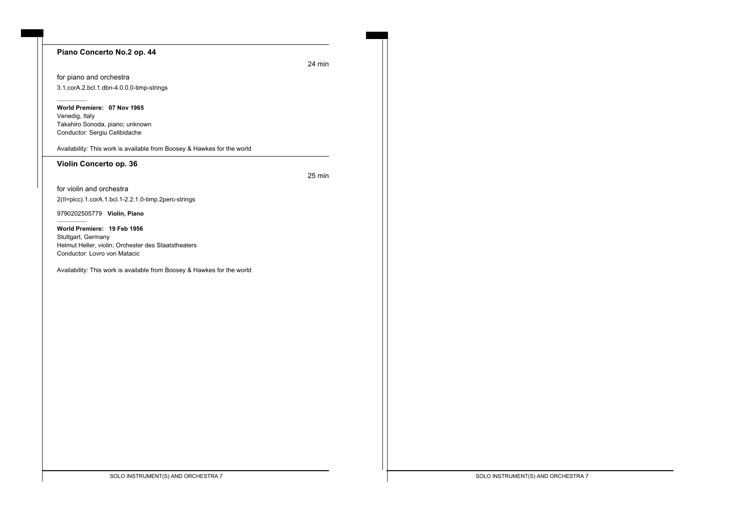#### **Piano Concerto No.2 op. 44**

24 min

for piano and orchestra 3.1.corA.2.bcl.1.dbn-4.0.0.0-timp-strings

**World Premiere: 07 Nov 1965** Venedig, Italy Takahiro Sonoda, piano; unknown Conductor: Sergiu Celibidache

Availability: This work is available from Boosey & Hawkes for the world

#### **Violin Concerto op. 36**

25 min

for violin and orchestra 2(II=picc).1.corA.1.bcl.1-2.2.1.0-timp.2perc-strings

9790202505779 **Violin, Piano**

**World Premiere: 19 Feb 1956** Stuttgart, Germany Helmut Heller, violin; Orchester des Staatstheaters Conductor: Lovro von Matacic

Availability: This work is available from Boosey & Hawkes for the world

SOLO INSTRUMENT(S) AND ORCHESTRA 7 SOLO INSTRUMENT(S) AND ORCHESTRA 7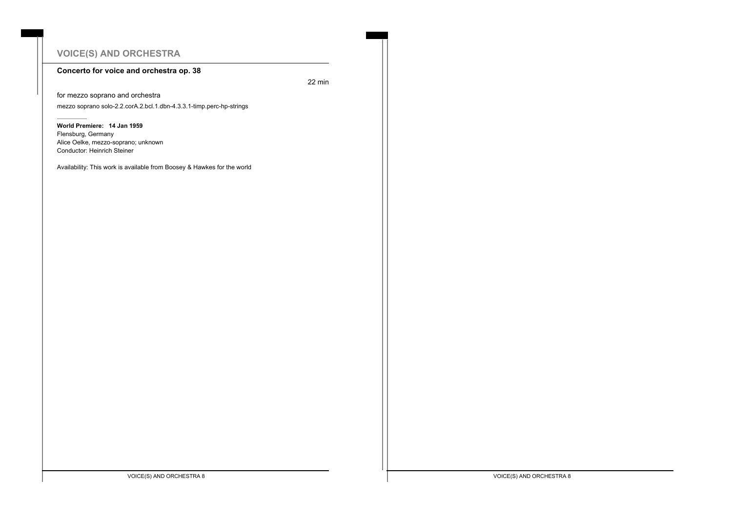# **VOICE(S) AND ORCHESTRA**

## **Concerto for voice and orchestra op. 38**

22 min

for mezzo soprano and orchestra mezzo soprano solo-2.2.corA.2.bcl.1.dbn-4.3.3.1-timp.perc-hp-strings

**World Premiere: 14 Jan 1959** Flensburg, Germany Alice Oelke, mezzo-soprano; unknown Conductor: Heinrich Steiner

Availability: This work is available from Boosey & Hawkes for the world

VOICE(S) AND ORCHESTRA 8 VOICE(S) AND ORCHESTRA 8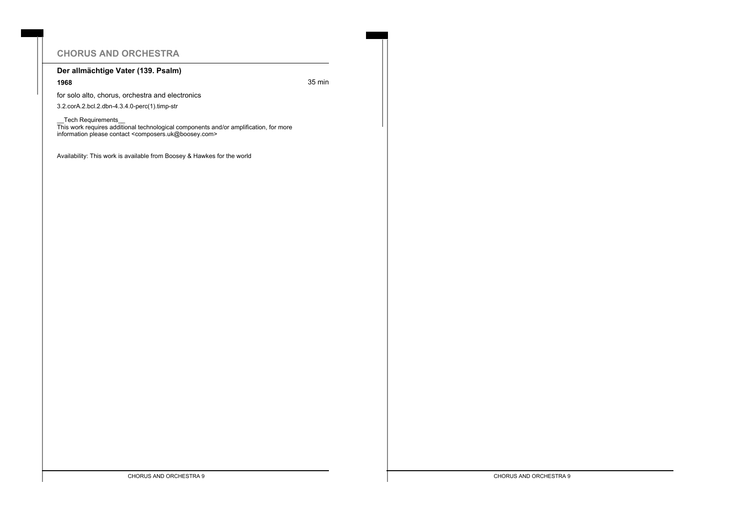# **CHORUS AND ORCHESTRA**

## **Der allmächtige Vater (139. Psalm)**

**1968** 35 min

for solo alto, chorus, orchestra and electronics

3.2.corA.2.bcl.2.dbn-4.3.4.0-perc(1).timp-str

\_\_Tech Requirements\_\_

This work requires additional technological components and/or amplification, for more information please contact <composers.uk@boosey.com>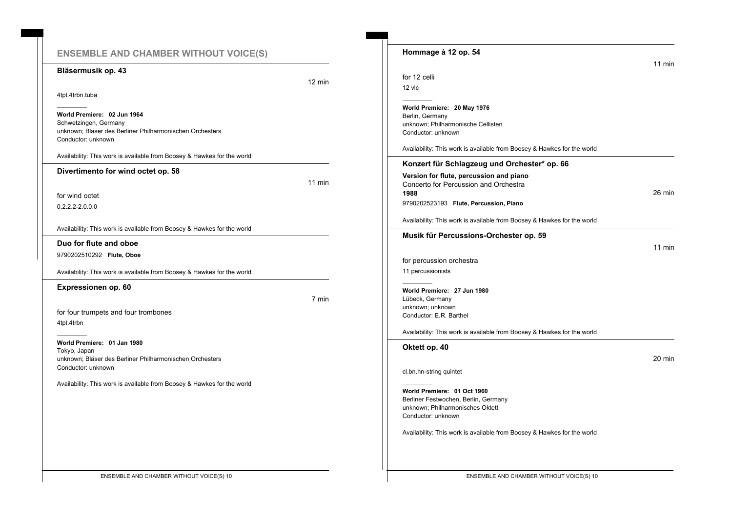## **ENSEMBLE AND CHAMBER WITHOUT VOICE(S)**

#### **Bläsermusik op. 43**

4tpt.4trbn.tuba

**World Premiere: 02 Jun 1964** Schwetzingen, Germany unknown; Bläser des Berliner Philharmonischen Orchesters Conductor: unknown

Availability: This work is available from Boosey & Hawkes for the world

**Divertimento for wind octet op. 58**

11 min

12 min

for wind octet 0.2.2.2-2.0.0.0

Availability: This work is available from Boosey & Hawkes for the world

**Duo for flute and oboe**

9790202510292 **Flute, Oboe**

Availability: This work is available from Boosey & Hawkes for the world

**Expressionen op. 60**

7 min

for four trumpets and four trombones 4tpt.4trbn

**World Premiere: 01 Jan 1980** Tokyo, Japan unknown; Bläser des Berliner Philharmonischen Orchesters Conductor: unknown

|                                                                          | $11$ min                     |
|--------------------------------------------------------------------------|------------------------------|
| for 12 celli                                                             |                              |
| $12$ vic                                                                 |                              |
| World Premiere: 20 May 1976                                              |                              |
| Berlin, Germany                                                          |                              |
| unknown; Philharmonische Cellisten<br>Conductor: unknown                 |                              |
| Availability: This work is available from Boosey & Hawkes for the world  |                              |
| Konzert für Schlagzeug und Orchester* op. 66                             |                              |
| Version for flute, percussion and piano                                  |                              |
| Concerto for Percussion and Orchestra                                    |                              |
| 1988                                                                     | 26 min                       |
| 9790202523193 Flute, Percussion, Piano                                   |                              |
| Availability: This work is available from Boosey & Hawkes for the world  |                              |
| Musik für Percussions-Orchester op. 59                                   |                              |
|                                                                          |                              |
|                                                                          |                              |
|                                                                          |                              |
| for percussion orchestra                                                 |                              |
| 11 percussionists                                                        |                              |
| World Premiere: 27 Jun 1980                                              |                              |
| Lübeck, Germany                                                          |                              |
| unknown; unknown                                                         |                              |
| Conductor: E.R. Barthel                                                  |                              |
| Availability: This work is available from Boosey & Hawkes for the world  |                              |
| Oktett op. 40                                                            |                              |
|                                                                          |                              |
| cl.bn.hn-string quintet                                                  |                              |
|                                                                          |                              |
| World Premiere: 01 Oct 1960                                              |                              |
| Berliner Festwochen, Berlin, Germany<br>unknown: Philharmonisches Oktett |                              |
| Conductor: unknown                                                       | $11$ min<br>$20 \text{ min}$ |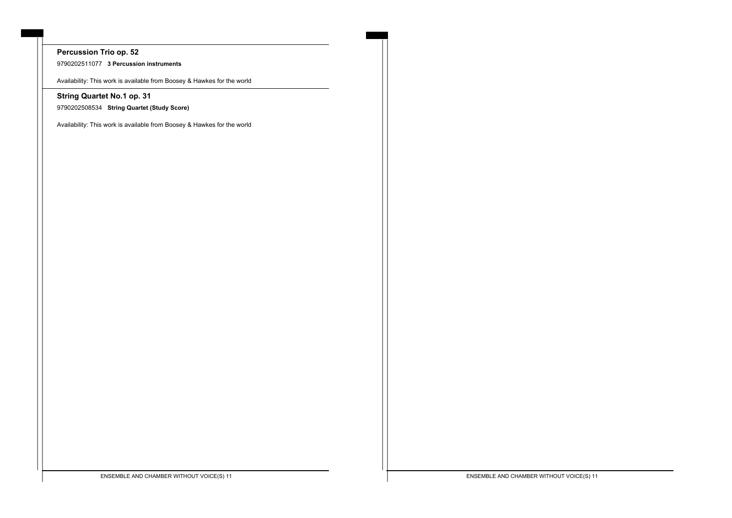# **Percussion Trio op. 52**

9790202511077 **3 Percussion instruments**

Availability: This work is available from Boosey & Hawkes for the world

## **String Quartet No.1 op. 31**

9790202508534 **String Quartet (Study Score)**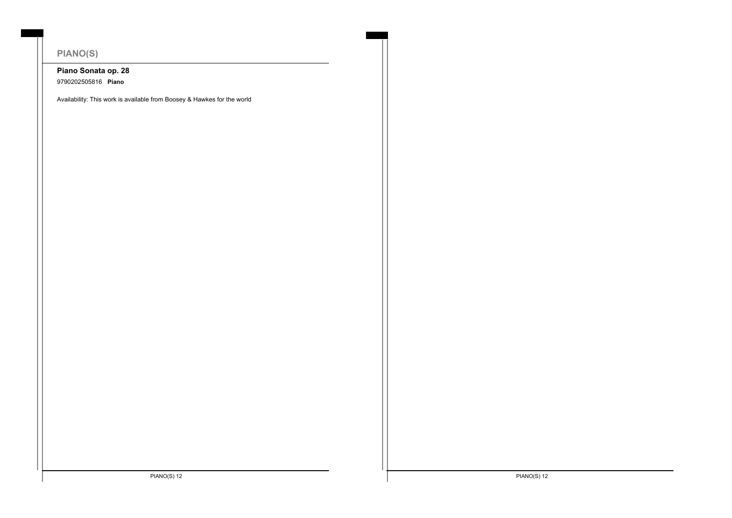# **PIANO(S)**

# **Piano Sonata op. 28**

9790202505816 **Piano**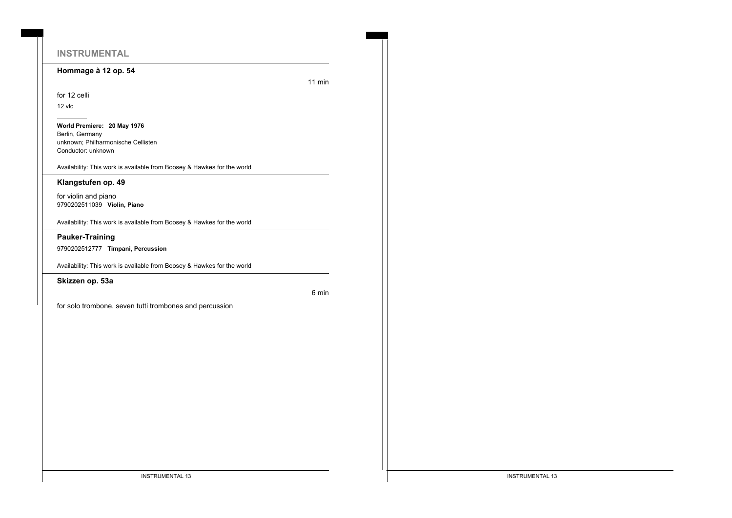# **INSTRUMENTAL**

### **Hommage à 12 op. 54**

11 min

## for 12 celli

12 vlc

**World Premiere: 20 May 1976** Berlin, Germany unknown; Philharmonische Cellisten Conductor: unknown

Availability: This work is available from Boosey & Hawkes for the world

#### **Klangstufen op. 49**

for violin and piano 9790202511039 **Violin, Piano**

Availability: This work is available from Boosey & Hawkes for the world

### **Pauker-Training**

9790202512777 **Timpani, Percussion**

Availability: This work is available from Boosey & Hawkes for the world

**Skizzen op. 53a**

6 min

for solo trombone, seven tutti trombones and percussion